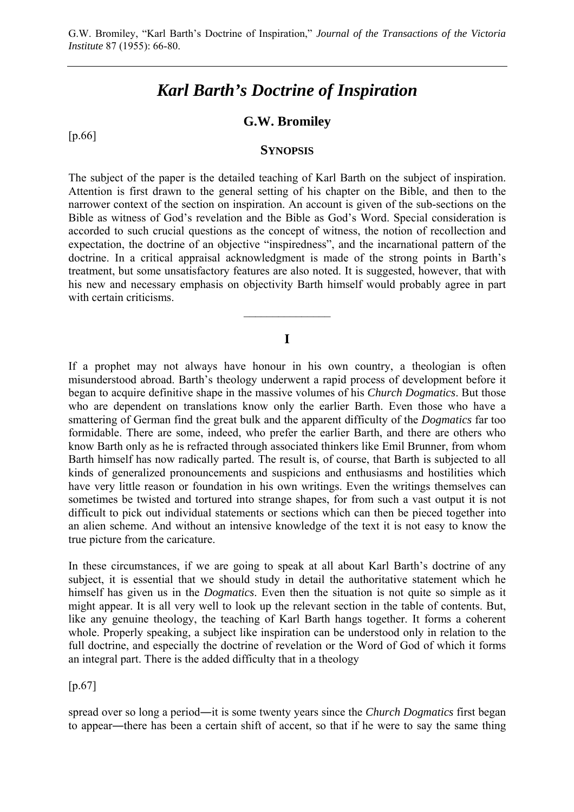# *Karl Barth's Doctrine of Inspiration*

# **G.W. Bromiley**

[p.66]

#### **SYNOPSIS**

The subject of the paper is the detailed teaching of Karl Barth on the subject of inspiration. Attention is first drawn to the general setting of his chapter on the Bible, and then to the narrower context of the section on inspiration. An account is given of the sub-sections on the Bible as witness of God's revelation and the Bible as God's Word. Special consideration is accorded to such crucial questions as the concept of witness, the notion of recollection and expectation, the doctrine of an objective "inspiredness", and the incarnational pattern of the doctrine. In a critical appraisal acknowledgment is made of the strong points in Barth's treatment, but some unsatisfactory features are also noted. It is suggested, however, that with his new and necessary emphasis on objectivity Barth himself would probably agree in part with certain criticisms.

#### **I**

 $\overline{\phantom{a}}$  , where  $\overline{\phantom{a}}$ 

If a prophet may not always have honour in his own country, a theologian is often misunderstood abroad. Barth's theology underwent a rapid process of development before it began to acquire definitive shape in the massive volumes of his *Church Dogmatics*. But those who are dependent on translations know only the earlier Barth. Even those who have a smattering of German find the great bulk and the apparent difficulty of the *Dogmatics* far too formidable. There are some, indeed, who prefer the earlier Barth, and there are others who know Barth only as he is refracted through associated thinkers like Emil Brunner, from whom Barth himself has now radically parted. The result is, of course, that Barth is subjected to all kinds of generalized pronouncements and suspicions and enthusiasms and hostilities which have very little reason or foundation in his own writings. Even the writings themselves can sometimes be twisted and tortured into strange shapes, for from such a vast output it is not difficult to pick out individual statements or sections which can then be pieced together into an alien scheme. And without an intensive knowledge of the text it is not easy to know the true picture from the caricature.

In these circumstances, if we are going to speak at all about Karl Barth's doctrine of any subject, it is essential that we should study in detail the authoritative statement which he himself has given us in the *Dogmatics*. Even then the situation is not quite so simple as it might appear. It is all very well to look up the relevant section in the table of contents. But, like any genuine theology, the teaching of Karl Barth hangs together. It forms a coherent whole. Properly speaking, a subject like inspiration can be understood only in relation to the full doctrine, and especially the doctrine of revelation or the Word of God of which it forms an integral part. There is the added difficulty that in a theology

[p.67]

spread over so long a period―it is some twenty years since the *Church Dogmatics* first began to appear―there has been a certain shift of accent, so that if he were to say the same thing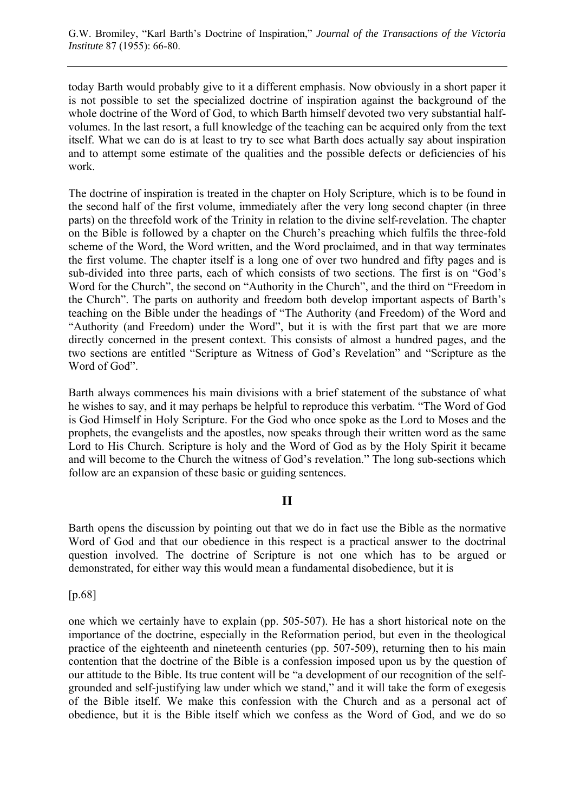today Barth would probably give to it a different emphasis. Now obviously in a short paper it is not possible to set the specialized doctrine of inspiration against the background of the whole doctrine of the Word of God, to which Barth himself devoted two very substantial halfvolumes. In the last resort, a full knowledge of the teaching can be acquired only from the text itself. What we can do is at least to try to see what Barth does actually say about inspiration and to attempt some estimate of the qualities and the possible defects or deficiencies of his work.

The doctrine of inspiration is treated in the chapter on Holy Scripture, which is to be found in the second half of the first volume, immediately after the very long second chapter (in three parts) on the threefold work of the Trinity in relation to the divine self-revelation. The chapter on the Bible is followed by a chapter on the Church's preaching which fulfils the three-fold scheme of the Word, the Word written, and the Word proclaimed, and in that way terminates the first volume. The chapter itself is a long one of over two hundred and fifty pages and is sub-divided into three parts, each of which consists of two sections. The first is on "God's Word for the Church", the second on "Authority in the Church", and the third on "Freedom in the Church". The parts on authority and freedom both develop important aspects of Barth's teaching on the Bible under the headings of "The Authority (and Freedom) of the Word and "Authority (and Freedom) under the Word", but it is with the first part that we are more directly concerned in the present context. This consists of almost a hundred pages, and the two sections are entitled "Scripture as Witness of God's Revelation" and "Scripture as the Word of God".

Barth always commences his main divisions with a brief statement of the substance of what he wishes to say, and it may perhaps be helpful to reproduce this verbatim. "The Word of God is God Himself in Holy Scripture. For the God who once spoke as the Lord to Moses and the prophets, the evangelists and the apostles, now speaks through their written word as the same Lord to His Church. Scripture is holy and the Word of God as by the Holy Spirit it became and will become to the Church the witness of God's revelation." The long sub-sections which follow are an expansion of these basic or guiding sentences.

# **II**

Barth opens the discussion by pointing out that we do in fact use the Bible as the normative Word of God and that our obedience in this respect is a practical answer to the doctrinal question involved. The doctrine of Scripture is not one which has to be argued or demonstrated, for either way this would mean a fundamental disobedience, but it is

[p.68]

one which we certainly have to explain (pp. 505-507). He has a short historical note on the importance of the doctrine, especially in the Reformation period, but even in the theological practice of the eighteenth and nineteenth centuries (pp. 507-509), returning then to his main contention that the doctrine of the Bible is a confession imposed upon us by the question of our attitude to the Bible. Its true content will be "a development of our recognition of the selfgrounded and self-justifying law under which we stand," and it will take the form of exegesis of the Bible itself. We make this confession with the Church and as a personal act of obedience, but it is the Bible itself which we confess as the Word of God, and we do so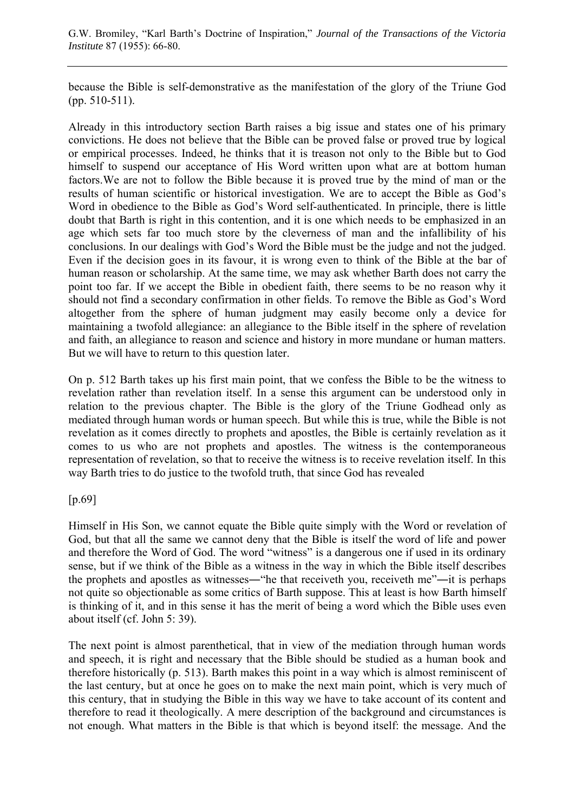because the Bible is self-demonstrative as the manifestation of the glory of the Triune God (pp. 510-511).

Already in this introductory section Barth raises a big issue and states one of his primary convictions. He does not believe that the Bible can be proved false or proved true by logical or empirical processes. Indeed, he thinks that it is treason not only to the Bible but to God himself to suspend our acceptance of His Word written upon what are at bottom human factors. We are not to follow the Bible because it is proved true by the mind of man or the results of human scientific or historical investigation. We are to accept the Bible as God's Word in obedience to the Bible as God's Word self-authenticated. In principle, there is little doubt that Barth is right in this contention, and it is one which needs to be emphasized in an age which sets far too much store by the cleverness of man and the infallibility of his conclusions. In our dealings with God's Word the Bible must be the judge and not the judged. Even if the decision goes in its favour, it is wrong even to think of the Bible at the bar of human reason or scholarship. At the same time, we may ask whether Barth does not carry the point too far. If we accept the Bible in obedient faith, there seems to be no reason why it should not find a secondary confirmation in other fields. To remove the Bible as God's Word altogether from the sphere of human judgment may easily become only a device for maintaining a twofold allegiance: an allegiance to the Bible itself in the sphere of revelation and faith, an allegiance to reason and science and history in more mundane or human matters. But we will have to return to this question later.

On p. 512 Barth takes up his first main point, that we confess the Bible to be the witness to revelation rather than revelation itself. In a sense this argument can be understood only in relation to the previous chapter. The Bible is the glory of the Triune Godhead only as mediated through human words or human speech. But while this is true, while the Bible is not revelation as it comes directly to prophets and apostles, the Bible is certainly revelation as it comes to us who are not prophets and apostles. The witness is the contemporaneous representation of revelation, so that to receive the witness is to receive revelation itself. In this way Barth tries to do justice to the twofold truth, that since God has revealed

## [p.69]

Himself in His Son, we cannot equate the Bible quite simply with the Word or revelation of God, but that all the same we cannot deny that the Bible is itself the word of life and power and therefore the Word of God. The word "witness" is a dangerous one if used in its ordinary sense, but if we think of the Bible as a witness in the way in which the Bible itself describes the prophets and apostles as witnesses―"he that receiveth you, receiveth me"―it is perhaps not quite so objectionable as some critics of Barth suppose. This at least is how Barth himself is thinking of it, and in this sense it has the merit of being a word which the Bible uses even about itself (cf. John 5: 39).

The next point is almost parenthetical, that in view of the mediation through human words and speech, it is right and necessary that the Bible should be studied as a human book and therefore historically (p. 513). Barth makes this point in a way which is almost reminiscent of the last century, but at once he goes on to make the next main point, which is very much of this century, that in studying the Bible in this way we have to take account of its content and therefore to read it theologically. A mere description of the background and circumstances is not enough. What matters in the Bible is that which is beyond itself: the message. And the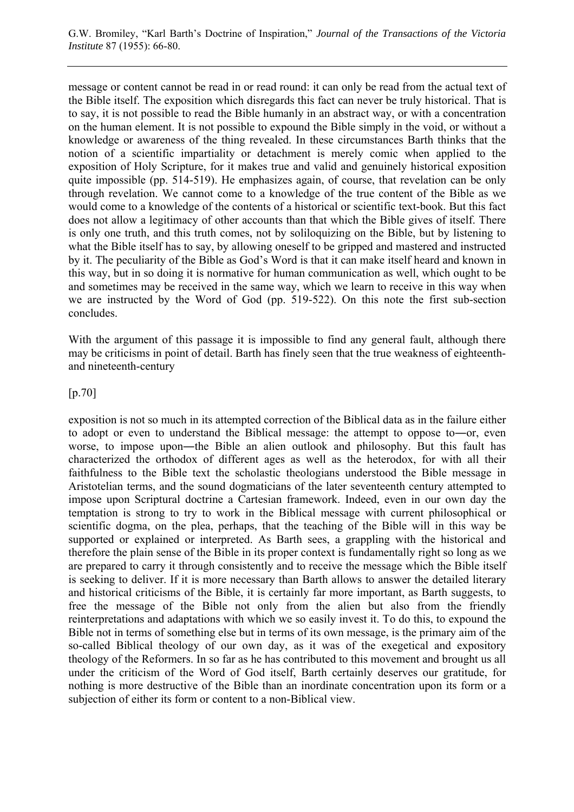message or content cannot be read in or read round: it can only be read from the actual text of the Bible itself. The exposition which disregards this fact can never be truly historical. That is to say, it is not possible to read the Bible humanly in an abstract way, or with a concentration on the human element. It is not possible to expound the Bible simply in the void, or without a knowledge or awareness of the thing revealed. In these circumstances Barth thinks that the notion of a scientific impartiality or detachment is merely comic when applied to the exposition of Holy Scripture, for it makes true and valid and genuinely historical exposition quite impossible (pp. 514-519). He emphasizes again, of course, that revelation can be only through revelation. We cannot come to a knowledge of the true content of the Bible as we would come to a knowledge of the contents of a historical or scientific text-book. But this fact does not allow a legitimacy of other accounts than that which the Bible gives of itself. There is only one truth, and this truth comes, not by soliloquizing on the Bible, but by listening to what the Bible itself has to say, by allowing oneself to be gripped and mastered and instructed by it. The peculiarity of the Bible as God's Word is that it can make itself heard and known in this way, but in so doing it is normative for human communication as well, which ought to be and sometimes may be received in the same way, which we learn to receive in this way when we are instructed by the Word of God (pp. 519-522). On this note the first sub-section concludes.

With the argument of this passage it is impossible to find any general fault, although there may be criticisms in point of detail. Barth has finely seen that the true weakness of eighteenthand nineteenth-century

## [p.70]

exposition is not so much in its attempted correction of the Biblical data as in the failure either to adopt or even to understand the Biblical message: the attempt to oppose to―or, even worse, to impose upon―the Bible an alien outlook and philosophy. But this fault has characterized the orthodox of different ages as well as the heterodox, for with all their faithfulness to the Bible text the scholastic theologians understood the Bible message in Aristotelian terms, and the sound dogmaticians of the later seventeenth century attempted to impose upon Scriptural doctrine a Cartesian framework. Indeed, even in our own day the temptation is strong to try to work in the Biblical message with current philosophical or scientific dogma, on the plea, perhaps, that the teaching of the Bible will in this way be supported or explained or interpreted. As Barth sees, a grappling with the historical and therefore the plain sense of the Bible in its proper context is fundamentally right so long as we are prepared to carry it through consistently and to receive the message which the Bible itself is seeking to deliver. If it is more necessary than Barth allows to answer the detailed literary and historical criticisms of the Bible, it is certainly far more important, as Barth suggests, to free the message of the Bible not only from the alien but also from the friendly reinterpretations and adaptations with which we so easily invest it. To do this, to expound the Bible not in terms of something else but in terms of its own message, is the primary aim of the so-called Biblical theology of our own day, as it was of the exegetical and expository theology of the Reformers. In so far as he has contributed to this movement and brought us all under the criticism of the Word of God itself, Barth certainly deserves our gratitude, for nothing is more destructive of the Bible than an inordinate concentration upon its form or a subjection of either its form or content to a non-Biblical view.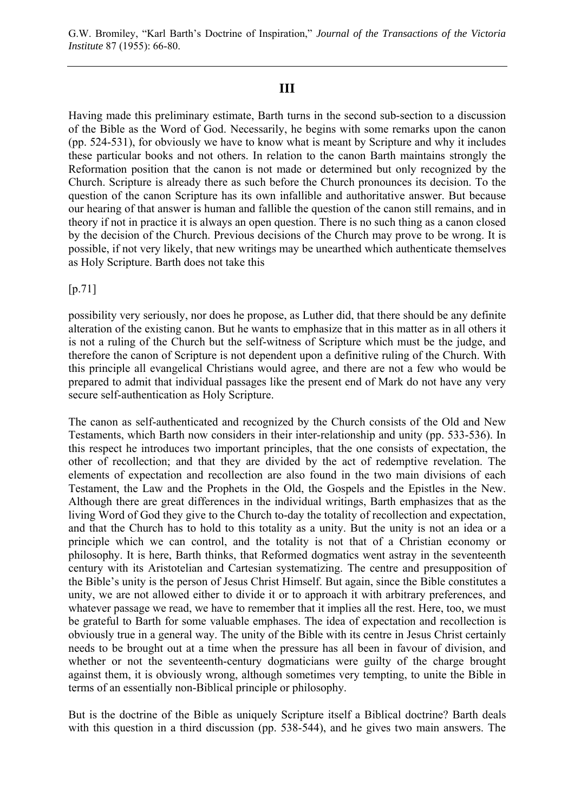# **III**

Having made this preliminary estimate, Barth turns in the second sub-section to a discussion of the Bible as the Word of God. Necessarily, he begins with some remarks upon the canon (pp. 524-531), for obviously we have to know what is meant by Scripture and why it includes these particular books and not others. In relation to the canon Barth maintains strongly the Reformation position that the canon is not made or determined but only recognized by the Church. Scripture is already there as such before the Church pronounces its decision. To the question of the canon Scripture has its own infallible and authoritative answer. But because our hearing of that answer is human and fallible the question of the canon still remains, and in theory if not in practice it is always an open question. There is no such thing as a canon closed by the decision of the Church. Previous decisions of the Church may prove to be wrong. It is possible, if not very likely, that new writings may be unearthed which authenticate themselves as Holy Scripture. Barth does not take this

[p.71]

possibility very seriously, nor does he propose, as Luther did, that there should be any definite alteration of the existing canon. But he wants to emphasize that in this matter as in all others it is not a ruling of the Church but the self-witness of Scripture which must be the judge, and therefore the canon of Scripture is not dependent upon a definitive ruling of the Church. With this principle all evangelical Christians would agree, and there are not a few who would be prepared to admit that individual passages like the present end of Mark do not have any very secure self-authentication as Holy Scripture.

The canon as self-authenticated and recognized by the Church consists of the Old and New Testaments, which Barth now considers in their inter-relationship and unity (pp. 533-536). In this respect he introduces two important principles, that the one consists of expectation, the other of recollection; and that they are divided by the act of redemptive revelation. The elements of expectation and recollection are also found in the two main divisions of each Testament, the Law and the Prophets in the Old, the Gospels and the Epistles in the New. Although there are great differences in the individual writings, Barth emphasizes that as the living Word of God they give to the Church to-day the totality of recollection and expectation, and that the Church has to hold to this totality as a unity. But the unity is not an idea or a principle which we can control, and the totality is not that of a Christian economy or philosophy. It is here, Barth thinks, that Reformed dogmatics went astray in the seventeenth century with its Aristotelian and Cartesian systematizing. The centre and presupposition of the Bible's unity is the person of Jesus Christ Himself. But again, since the Bible constitutes a unity, we are not allowed either to divide it or to approach it with arbitrary preferences, and whatever passage we read, we have to remember that it implies all the rest. Here, too, we must be grateful to Barth for some valuable emphases. The idea of expectation and recollection is obviously true in a general way. The unity of the Bible with its centre in Jesus Christ certainly needs to be brought out at a time when the pressure has all been in favour of division, and whether or not the seventeenth-century dogmaticians were guilty of the charge brought against them, it is obviously wrong, although sometimes very tempting, to unite the Bible in terms of an essentially non-Biblical principle or philosophy.

But is the doctrine of the Bible as uniquely Scripture itself a Biblical doctrine? Barth deals with this question in a third discussion (pp. 538-544), and he gives two main answers. The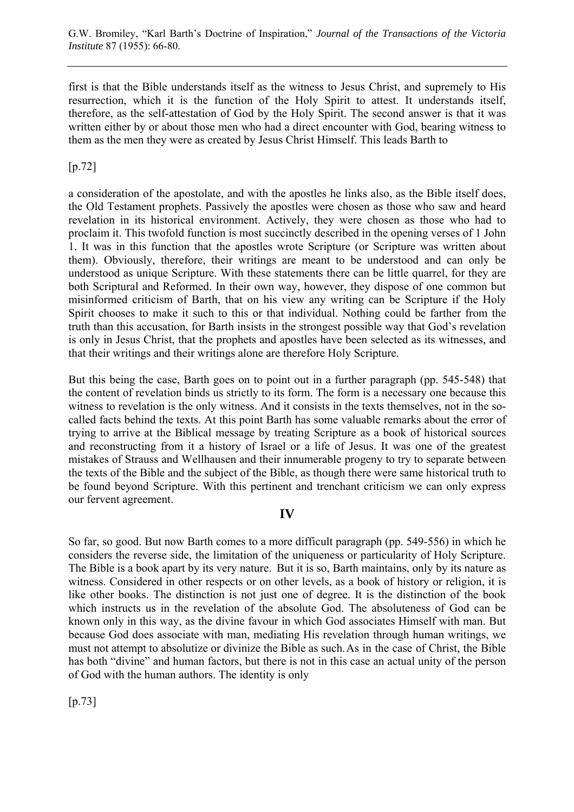first is that the Bible understands itself as the witness to Jesus Christ, and supremely to His resurrection, which it is the function of the Holy Spirit to attest. It understands itself, therefore, as the self-attestation of God by the Holy Spirit. The second answer is that it was written either by or about those men who had a direct encounter with God, bearing witness to them as the men they were as created by Jesus Christ Himself. This leads Barth to

# [p.72]

a consideration of the apostolate, and with the apostles he links also, as the Bible itself does, the Old Testament prophets. Passively the apostles were chosen as those who saw and heard revelation in its historical environment. Actively, they were chosen as those who had to proclaim it. This twofold function is most succinctly described in the opening verses of 1 John 1. It was in this function that the apostles wrote Scripture (or Scripture was written about them). Obviously, therefore, their writings are meant to be understood and can only be understood as unique Scripture. With these statements there can be little quarrel, for they are both Scriptural and Reformed. In their own way, however, they dispose of one common but misinformed criticism of Barth, that on his view any writing can be Scripture if the Holy Spirit chooses to make it such to this or that individual. Nothing could be farther from the truth than this accusation, for Barth insists in the strongest possible way that God's revelation is only in Jesus Christ, that the prophets and apostles have been selected as its witnesses, and that their writings and their writings alone are therefore Holy Scripture.

But this being the case, Barth goes on to point out in a further paragraph (pp. 545-548) that the content of revelation binds us strictly to its form. The form is a necessary one because this witness to revelation is the only witness. And it consists in the texts themselves, not in the socalled facts behind the texts. At this point Barth has some valuable remarks about the error of trying to arrive at the Biblical message by treating Scripture as a book of historical sources and reconstructing from it a history of Israel or a life of Jesus. It was one of the greatest mistakes of Strauss and Wellhausen and their innumerable progeny to try to separate between the texts of the Bible and the subject of the Bible, as though there were same historical truth to be found beyond Scripture. With this pertinent and trenchant criticism we can only express our fervent agreement.

# **IV**

So far, so good. But now Barth comes to a more difficult paragraph (pp. 549-556) in which he considers the reverse side, the limitation of the uniqueness or particularity of Holy Scripture. The Bible is a book apart by its very nature. But it is so, Barth maintains, only by its nature as witness. Considered in other respects or on other levels, as a book of history or religion, it is like other books. The distinction is not just one of degree. It is the distinction of the book which instructs us in the revelation of the absolute God. The absoluteness of God can be known only in this way, as the divine favour in which God associates Himself with man. But because God does associate with man, mediating His revelation through human writings, we must not attempt to absolutize or divinize the Bible as such. As in the case of Christ, the Bible has both "divine" and human factors, but there is not in this case an actual unity of the person of God with the human authors. The identity is only

[p.73]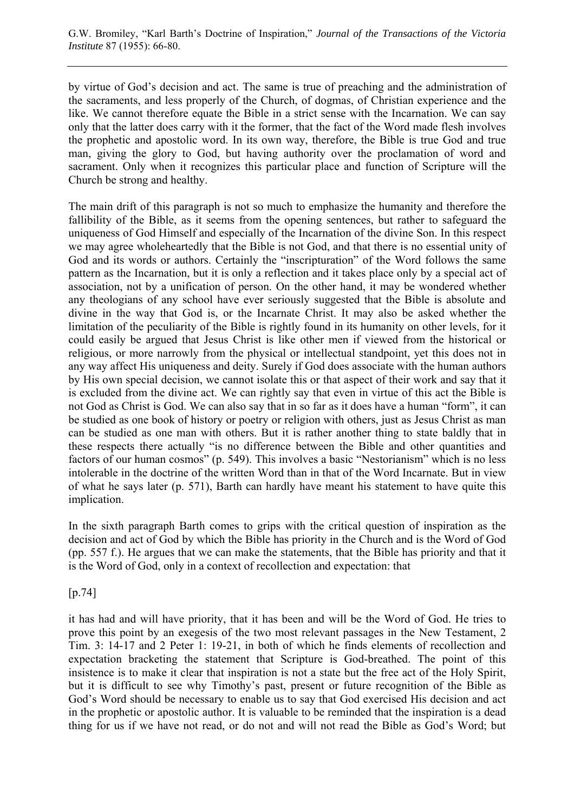by virtue of God's decision and act. The same is true of preaching and the administration of the sacraments, and less properly of the Church, of dogmas, of Christian experience and the like. We cannot therefore equate the Bible in a strict sense with the Incarnation. We can say only that the latter does carry with it the former, that the fact of the Word made flesh involves the prophetic and apostolic word. In its own way, therefore, the Bible is true God and true man, giving the glory to God, but having authority over the proclamation of word and sacrament. Only when it recognizes this particular place and function of Scripture will the Church be strong and healthy.

The main drift of this paragraph is not so much to emphasize the humanity and therefore the fallibility of the Bible, as it seems from the opening sentences, but rather to safeguard the uniqueness of God Himself and especially of the Incarnation of the divine Son. In this respect we may agree wholeheartedly that the Bible is not God, and that there is no essential unity of God and its words or authors. Certainly the "inscripturation" of the Word follows the same pattern as the Incarnation, but it is only a reflection and it takes place only by a special act of association, not by a unification of person. On the other hand, it may be wondered whether any theologians of any school have ever seriously suggested that the Bible is absolute and divine in the way that God is, or the Incarnate Christ. It may also be asked whether the limitation of the peculiarity of the Bible is rightly found in its humanity on other levels, for it could easily be argued that Jesus Christ is like other men if viewed from the historical or religious, or more narrowly from the physical or intellectual standpoint, yet this does not in any way affect His uniqueness and deity. Surely if God does associate with the human authors by His own special decision, we cannot isolate this or that aspect of their work and say that it is excluded from the divine act. We can rightly say that even in virtue of this act the Bible is not God as Christ is God. We can also say that in so far as it does have a human "form", it can be studied as one book of history or poetry or religion with others, just as Jesus Christ as man can be studied as one man with others. But it is rather another thing to state baldly that in these respects there actually "is no difference between the Bible and other quantities and factors of our human cosmos" (p. 549). This involves a basic "Nestorianism" which is no less intolerable in the doctrine of the written Word than in that of the Word Incarnate. But in view of what he says later (p. 571), Barth can hardly have meant his statement to have quite this implication.

In the sixth paragraph Barth comes to grips with the critical question of inspiration as the decision and act of God by which the Bible has priority in the Church and is the Word of God (pp. 557 f.). He argues that we can make the statements, that the Bible has priority and that it is the Word of God, only in a context of recollection and expectation: that

[p.74]

it has had and will have priority, that it has been and will be the Word of God. He tries to prove this point by an exegesis of the two most relevant passages in the New Testament, 2 Tim. 3: 14-17 and 2 Peter 1: 19-21, in both of which he finds elements of recollection and expectation bracketing the statement that Scripture is God-breathed. The point of this insistence is to make it clear that inspiration is not a state but the free act of the Holy Spirit, but it is difficult to see why Timothy's past, present or future recognition of the Bible as God's Word should be necessary to enable us to say that God exercised His decision and act in the prophetic or apostolic author. It is valuable to be reminded that the inspiration is a dead thing for us if we have not read, or do not and will not read the Bible as God's Word; but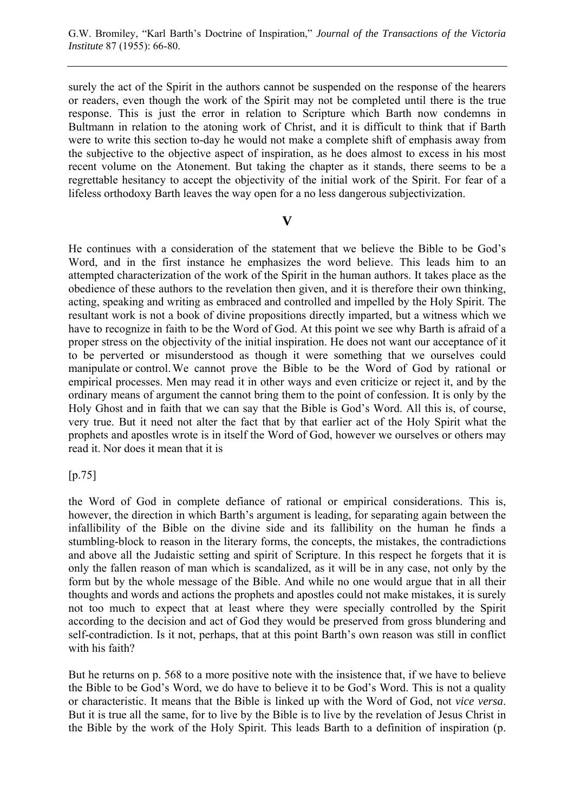surely the act of the Spirit in the authors cannot be suspended on the response of the hearers or readers, even though the work of the Spirit may not be completed until there is the true response. This is just the error in relation to Scripture which Barth now condemns in Bultmann in relation to the atoning work of Christ, and it is difficult to think that if Barth were to write this section to-day he would not make a complete shift of emphasis away from the subjective to the objective aspect of inspiration, as he does almost to excess in his most recent volume on the Atonement. But taking the chapter as it stands, there seems to be a regrettable hesitancy to accept the objectivity of the initial work of the Spirit. For fear of a lifeless orthodoxy Barth leaves the way open for a no less dangerous subjectivization.

## **V**

He continues with a consideration of the statement that we believe the Bible to be God's Word, and in the first instance he emphasizes the word believe. This leads him to an attempted characterization of the work of the Spirit in the human authors. It takes place as the obedience of these authors to the revelation then given, and it is therefore their own thinking, acting, speaking and writing as embraced and controlled and impelled by the Holy Spirit. The resultant work is not a book of divine propositions directly imparted, but a witness which we have to recognize in faith to be the Word of God. At this point we see why Barth is afraid of a proper stress on the objectivity of the initial inspiration. He does not want our acceptance of it to be perverted or misunderstood as though it were something that we ourselves could manipulate or control. We cannot prove the Bible to be the Word of God by rational or empirical processes. Men may read it in other ways and even criticize or reject it, and by the ordinary means of argument the cannot bring them to the point of confession. It is only by the Holy Ghost and in faith that we can say that the Bible is God's Word. All this is, of course, very true. But it need not alter the fact that by that earlier act of the Holy Spirit what the prophets and apostles wrote is in itself the Word of God, however we ourselves or others may read it. Nor does it mean that it is

[p.75]

the Word of God in complete defiance of rational or empirical considerations. This is, however, the direction in which Barth's argument is leading, for separating again between the infallibility of the Bible on the divine side and its fallibility on the human he finds a stumbling-block to reason in the literary forms, the concepts, the mistakes, the contradictions and above all the Judaistic setting and spirit of Scripture. In this respect he forgets that it is only the fallen reason of man which is scandalized, as it will be in any case, not only by the form but by the whole message of the Bible. And while no one would argue that in all their thoughts and words and actions the prophets and apostles could not make mistakes, it is surely not too much to expect that at least where they were specially controlled by the Spirit according to the decision and act of God they would be preserved from gross blundering and self-contradiction. Is it not, perhaps, that at this point Barth's own reason was still in conflict with his faith?

But he returns on p. 568 to a more positive note with the insistence that, if we have to believe the Bible to be God's Word, we do have to believe it to be God's Word. This is not a quality or characteristic. It means that the Bible is linked up with the Word of God, not *vice versa*. But it is true all the same, for to live by the Bible is to live by the revelation of Jesus Christ in the Bible by the work of the Holy Spirit. This leads Barth to a definition of inspiration (p.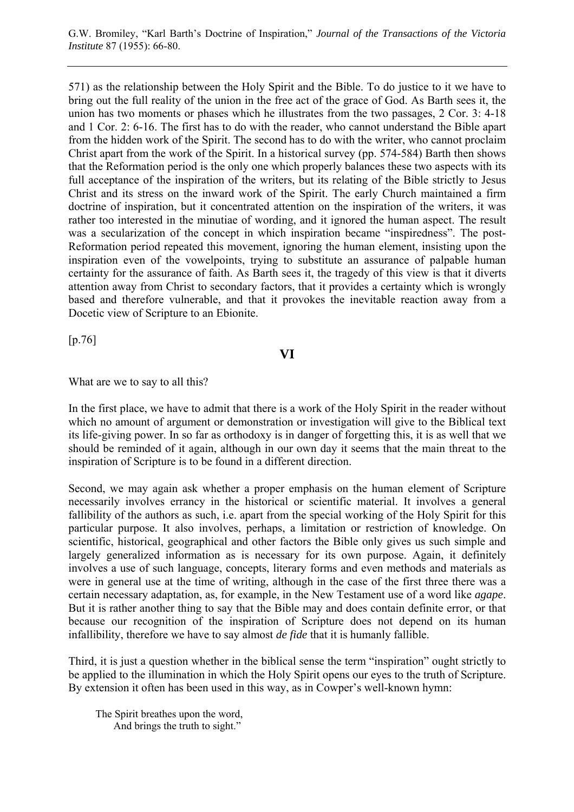571) as the relationship between the Holy Spirit and the Bible. To do justice to it we have to bring out the full reality of the union in the free act of the grace of God. As Barth sees it, the union has two moments or phases which he illustrates from the two passages, 2 Cor. 3: 4-18 and 1 Cor. 2: 6-16. The first has to do with the reader, who cannot understand the Bible apart from the hidden work of the Spirit. The second has to do with the writer, who cannot proclaim Christ apart from the work of the Spirit. In a historical survey (pp. 574-584) Barth then shows that the Reformation period is the only one which properly balances these two aspects with its full acceptance of the inspiration of the writers, but its relating of the Bible strictly to Jesus Christ and its stress on the inward work of the Spirit. The early Church maintained a firm doctrine of inspiration, but it concentrated attention on the inspiration of the writers, it was rather too interested in the minutiae of wording, and it ignored the human aspect. The result was a secularization of the concept in which inspiration became "inspiredness". The post-Reformation period repeated this movement, ignoring the human element, insisting upon the inspiration even of the vowelpoints, trying to substitute an assurance of palpable human certainty for the assurance of faith. As Barth sees it, the tragedy of this view is that it diverts attention away from Christ to secondary factors, that it provides a certainty which is wrongly based and therefore vulnerable, and that it provokes the inevitable reaction away from a Docetic view of Scripture to an Ebionite.

[p.76]

# **VI**

What are we to say to all this?

In the first place, we have to admit that there is a work of the Holy Spirit in the reader without which no amount of argument or demonstration or investigation will give to the Biblical text its life-giving power. In so far as orthodoxy is in danger of forgetting this, it is as well that we should be reminded of it again, although in our own day it seems that the main threat to the inspiration of Scripture is to be found in a different direction.

Second, we may again ask whether a proper emphasis on the human element of Scripture necessarily involves errancy in the historical or scientific material. It involves a general fallibility of the authors as such, i.e. apart from the special working of the Holy Spirit for this particular purpose. It also involves, perhaps, a limitation or restriction of knowledge. On scientific, historical, geographical and other factors the Bible only gives us such simple and largely generalized information as is necessary for its own purpose. Again, it definitely involves a use of such language, concepts, literary forms and even methods and materials as were in general use at the time of writing, although in the case of the first three there was a certain necessary adaptation, as, for example, in the New Testament use of a word like *agape*. But it is rather another thing to say that the Bible may and does contain definite error, or that because our recognition of the inspiration of Scripture does not depend on its human infallibility, therefore we have to say almost *de fide* that it is humanly fallible.

Third, it is just a question whether in the biblical sense the term "inspiration" ought strictly to be applied to the illumination in which the Holy Spirit opens our eyes to the truth of Scripture. By extension it often has been used in this way, as in Cowper's well-known hymn:

The Spirit breathes upon the word, And brings the truth to sight."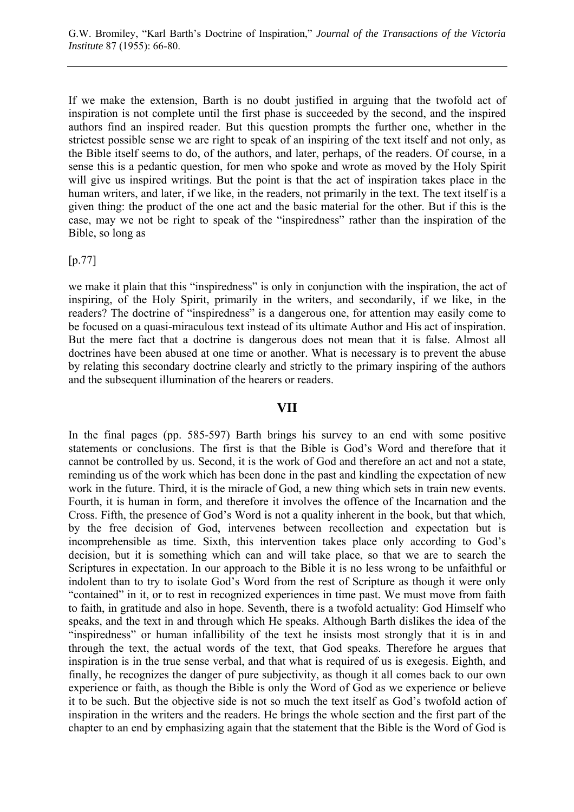If we make the extension, Barth is no doubt justified in arguing that the twofold act of inspiration is not complete until the first phase is succeeded by the second, and the inspired authors find an inspired reader. But this question prompts the further one, whether in the strictest possible sense we are right to speak of an inspiring of the text itself and not only, as the Bible itself seems to do, of the authors, and later, perhaps, of the readers. Of course, in a sense this is a pedantic question, for men who spoke and wrote as moved by the Holy Spirit will give us inspired writings. But the point is that the act of inspiration takes place in the human writers, and later, if we like, in the readers, not primarily in the text. The text itself is a given thing: the product of the one act and the basic material for the other. But if this is the case, may we not be right to speak of the "inspiredness" rather than the inspiration of the Bible, so long as

[p.77]

we make it plain that this "inspiredness" is only in conjunction with the inspiration, the act of inspiring, of the Holy Spirit, primarily in the writers, and secondarily, if we like, in the readers? The doctrine of "inspiredness" is a dangerous one, for attention may easily come to be focused on a quasi-miraculous text instead of its ultimate Author and His act of inspiration. But the mere fact that a doctrine is dangerous does not mean that it is false. Almost all doctrines have been abused at one time or another. What is necessary is to prevent the abuse by relating this secondary doctrine clearly and strictly to the primary inspiring of the authors and the subsequent illumination of the hearers or readers.

#### **VII**

In the final pages (pp. 585-597) Barth brings his survey to an end with some positive statements or conclusions. The first is that the Bible is God's Word and therefore that it cannot be controlled by us. Second, it is the work of God and therefore an act and not a state, reminding us of the work which has been done in the past and kindling the expectation of new work in the future. Third, it is the miracle of God, a new thing which sets in train new events. Fourth, it is human in form, and therefore it involves the offence of the Incarnation and the Cross. Fifth, the presence of God's Word is not a quality inherent in the book, but that which, by the free decision of God, intervenes between recollection and expectation but is incomprehensible as time. Sixth, this intervention takes place only according to God's decision, but it is something which can and will take place, so that we are to search the Scriptures in expectation. In our approach to the Bible it is no less wrong to be unfaithful or indolent than to try to isolate God's Word from the rest of Scripture as though it were only "contained" in it, or to rest in recognized experiences in time past. We must move from faith to faith, in gratitude and also in hope. Seventh, there is a twofold actuality: God Himself who speaks, and the text in and through which He speaks. Although Barth dislikes the idea of the "inspiredness" or human infallibility of the text he insists most strongly that it is in and through the text, the actual words of the text, that God speaks. Therefore he argues that inspiration is in the true sense verbal, and that what is required of us is exegesis. Eighth, and finally, he recognizes the danger of pure subjectivity, as though it all comes back to our own experience or faith, as though the Bible is only the Word of God as we experience or believe it to be such. But the objective side is not so much the text itself as God's twofold action of inspiration in the writers and the readers. He brings the whole section and the first part of the chapter to an end by emphasizing again that the statement that the Bible is the Word of God is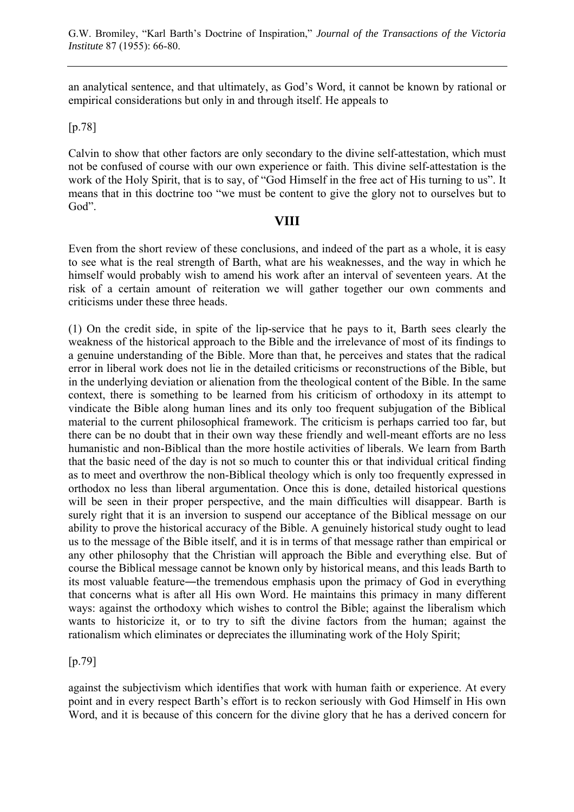an analytical sentence, and that ultimately, as God's Word, it cannot be known by rational or empirical considerations but only in and through itself. He appeals to

## [p.78]

Calvin to show that other factors are only secondary to the divine self-attestation, which must not be confused of course with our own experience or faith. This divine self-attestation is the work of the Holy Spirit, that is to say, of "God Himself in the free act of His turning to us". It means that in this doctrine too "we must be content to give the glory not to ourselves but to God".

# **VIII**

Even from the short review of these conclusions, and indeed of the part as a whole, it is easy to see what is the real strength of Barth, what are his weaknesses, and the way in which he himself would probably wish to amend his work after an interval of seventeen years. At the risk of a certain amount of reiteration we will gather together our own comments and criticisms under these three heads.

(1) On the credit side, in spite of the lip-service that he pays to it, Barth sees clearly the weakness of the historical approach to the Bible and the irrelevance of most of its findings to a genuine understanding of the Bible. More than that, he perceives and states that the radical error in liberal work does not lie in the detailed criticisms or reconstructions of the Bible, but in the underlying deviation or alienation from the theological content of the Bible. In the same context, there is something to be learned from his criticism of orthodoxy in its attempt to vindicate the Bible along human lines and its only too frequent subjugation of the Biblical material to the current philosophical framework. The criticism is perhaps carried too far, but there can be no doubt that in their own way these friendly and well-meant efforts are no less humanistic and non-Biblical than the more hostile activities of liberals. We learn from Barth that the basic need of the day is not so much to counter this or that individual critical finding as to meet and overthrow the non-Biblical theology which is only too frequently expressed in orthodox no less than liberal argumentation. Once this is done, detailed historical questions will be seen in their proper perspective, and the main difficulties will disappear. Barth is surely right that it is an inversion to suspend our acceptance of the Biblical message on our ability to prove the historical accuracy of the Bible. A genuinely historical study ought to lead us to the message of the Bible itself, and it is in terms of that message rather than empirical or any other philosophy that the Christian will approach the Bible and everything else. But of course the Biblical message cannot be known only by historical means, and this leads Barth to its most valuable feature―the tremendous emphasis upon the primacy of God in everything that concerns what is after all His own Word. He maintains this primacy in many different ways: against the orthodoxy which wishes to control the Bible; against the liberalism which wants to historicize it, or to try to sift the divine factors from the human; against the rationalism which eliminates or depreciates the illuminating work of the Holy Spirit;

[p.79]

against the subjectivism which identifies that work with human faith or experience. At every point and in every respect Barth's effort is to reckon seriously with God Himself in His own Word, and it is because of this concern for the divine glory that he has a derived concern for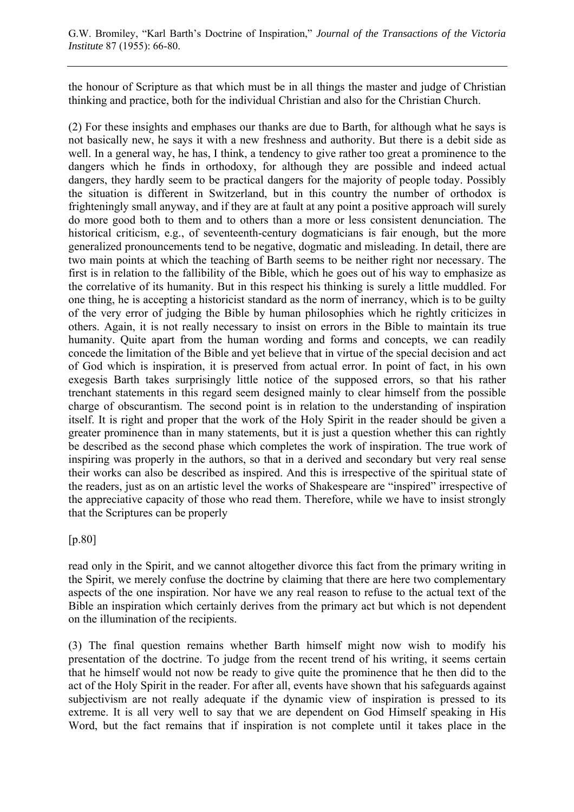the honour of Scripture as that which must be in all things the master and judge of Christian thinking and practice, both for the individual Christian and also for the Christian Church.

(2) For these insights and emphases our thanks are due to Barth, for although what he says is not basically new, he says it with a new freshness and authority. But there is a debit side as well. In a general way, he has, I think, a tendency to give rather too great a prominence to the dangers which he finds in orthodoxy, for although they are possible and indeed actual dangers, they hardly seem to be practical dangers for the majority of people today. Possibly the situation is different in Switzerland, but in this country the number of orthodox is frighteningly small anyway, and if they are at fault at any point a positive approach will surely do more good both to them and to others than a more or less consistent denunciation. The historical criticism, e.g., of seventeenth-century dogmaticians is fair enough, but the more generalized pronouncements tend to be negative, dogmatic and misleading. In detail, there are two main points at which the teaching of Barth seems to be neither right nor necessary. The first is in relation to the fallibility of the Bible, which he goes out of his way to emphasize as the correlative of its humanity. But in this respect his thinking is surely a little muddled. For one thing, he is accepting a historicist standard as the norm of inerrancy, which is to be guilty of the very error of judging the Bible by human philosophies which he rightly criticizes in others. Again, it is not really necessary to insist on errors in the Bible to maintain its true humanity. Quite apart from the human wording and forms and concepts, we can readily concede the limitation of the Bible and yet believe that in virtue of the special decision and act of God which is inspiration, it is preserved from actual error. In point of fact, in his own exegesis Barth takes surprisingly little notice of the supposed errors, so that his rather trenchant statements in this regard seem designed mainly to clear himself from the possible charge of obscurantism. The second point is in relation to the understanding of inspiration itself. It is right and proper that the work of the Holy Spirit in the reader should be given a greater prominence than in many statements, but it is just a question whether this can rightly be described as the second phase which completes the work of inspiration. The true work of inspiring was properly in the authors, so that in a derived and secondary but very real sense their works can also be described as inspired. And this is irrespective of the spiritual state of the readers, just as on an artistic level the works of Shakespeare are "inspired" irrespective of the appreciative capacity of those who read them. Therefore, while we have to insist strongly that the Scriptures can be properly

[p.80]

read only in the Spirit, and we cannot altogether divorce this fact from the primary writing in the Spirit, we merely confuse the doctrine by claiming that there are here two complementary aspects of the one inspiration. Nor have we any real reason to refuse to the actual text of the Bible an inspiration which certainly derives from the primary act but which is not dependent on the illumination of the recipients.

(3) The final question remains whether Barth himself might now wish to modify his presentation of the doctrine. To judge from the recent trend of his writing, it seems certain that he himself would not now be ready to give quite the prominence that he then did to the act of the Holy Spirit in the reader. For after all, events have shown that his safeguards against subjectivism are not really adequate if the dynamic view of inspiration is pressed to its extreme. It is all very well to say that we are dependent on God Himself speaking in His Word, but the fact remains that if inspiration is not complete until it takes place in the